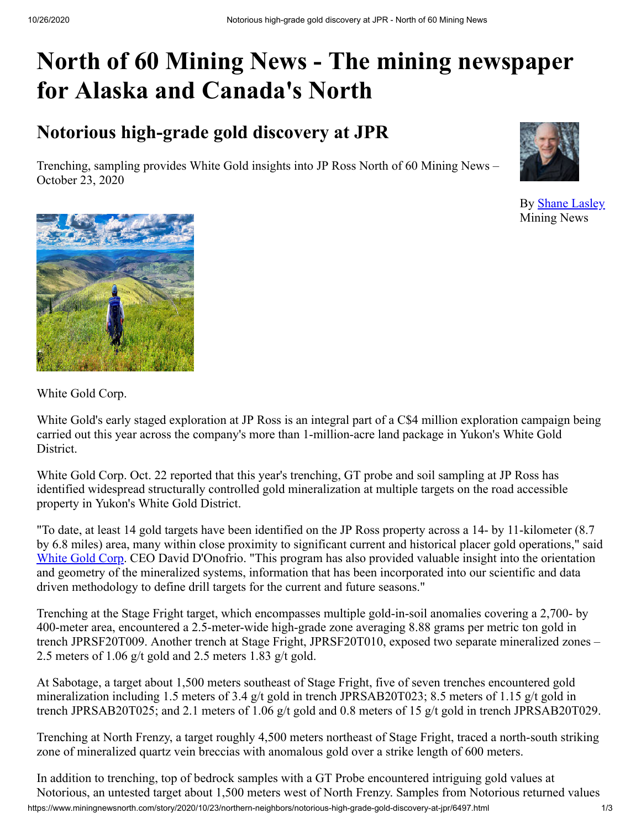# **North of 60 Mining News - The mining newspaper for Alaska and Canada's North**

## **Notorious high-grade gold discovery at JPR**

Trenching, sampling provides White Gold insights into JP Ross North of 60 Mining News – October 23, 2020



By [Shane Lasley](https://www.miningnewsnorth.com/author/shane_lasley) Mining News



White Gold Corp.

White Gold's early staged exploration at JP Ross is an integral part of a C\$4 million exploration campaign being carried out this year across the company's more than 1-million-acre land package in Yukon's White Gold District.

White Gold Corp. Oct. 22 reported that this year's trenching, GT probe and soil sampling at JP Ross has identified widespread structurally controlled gold mineralization at multiple targets on the road accessible property in Yukon's White Gold District.

"To date, at least 14 gold targets have been identified on the JP Ross property across a 14- by 11-kilometer (8.7 by 6.8 miles) area, many within close proximity to significant current and historical placer gold operations," said [White Gold Corp](https://www.miningnewsnorth.com/search/White_Gold_Corp). CEO David D'Onofrio. "This program has also provided valuable insight into the orientation and geometry of the mineralized systems, information that has been incorporated into our scientific and data driven methodology to define drill targets for the current and future seasons."

Trenching at the Stage Fright target, which encompasses multiple gold-in-soil anomalies covering a 2,700- by 400-meter area, encountered a 2.5-meter-wide high-grade zone averaging 8.88 grams per metric ton gold in trench JPRSF20T009. Another trench at Stage Fright, JPRSF20T010, exposed two separate mineralized zones – 2.5 meters of 1.06 g/t gold and 2.5 meters 1.83 g/t gold.

At Sabotage, a target about 1,500 meters southeast of Stage Fright, five of seven trenches encountered gold mineralization including 1.5 meters of 3.4 g/t gold in trench JPRSAB20T023; 8.5 meters of 1.15 g/t gold in trench JPRSAB20T025; and 2.1 meters of 1.06 g/t gold and 0.8 meters of 15 g/t gold in trench JPRSAB20T029.

Trenching at North Frenzy, a target roughly 4,500 meters northeast of Stage Fright, traced a north-south striking zone of mineralized quartz vein breccias with anomalous gold over a strike length of 600 meters.

https://www.miningnewsnorth.com/story/2020/10/23/northern-neighbors/notorious-high-grade-gold-discovery-at-jpr/6497.html 1/3 In addition to trenching, top of bedrock samples with a GT Probe encountered intriguing gold values at Notorious, an untested target about 1,500 meters west of North Frenzy. Samples from Notorious returned values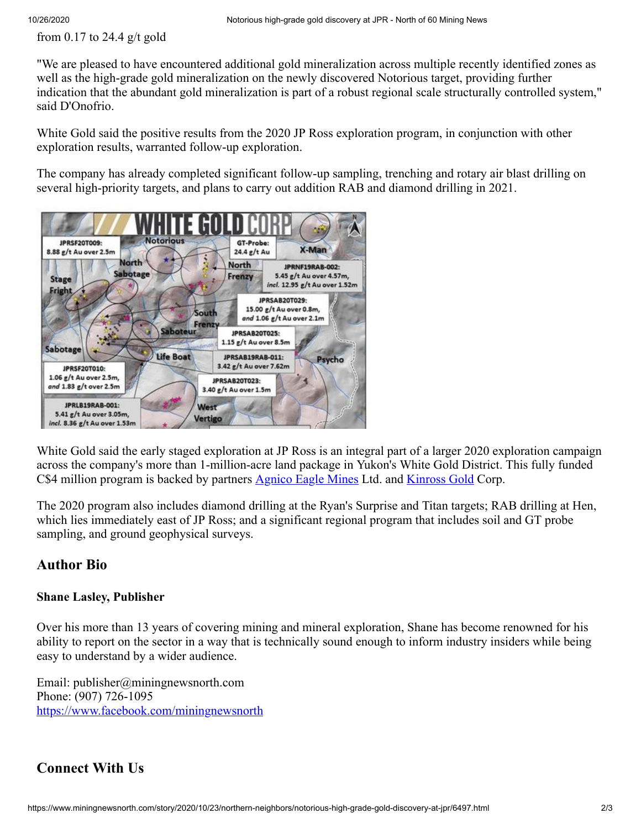from 0.17 to 24.4  $g/t$  gold

"We are pleased to have encountered additional gold mineralization across multiple recently identified zones as well as the high-grade gold mineralization on the newly discovered Notorious target, providing further indication that the abundant gold mineralization is part of a robust regional scale structurally controlled system," said D'Onofrio.

White Gold said the positive results from the 2020 JP Ross exploration program, in conjunction with other exploration results, warranted follow-up exploration.

The company has already completed significant follow-up sampling, trenching and rotary air blast drilling on several high-priority targets, and plans to carry out addition RAB and diamond drilling in 2021.



White Gold said the early staged exploration at JP Ross is an integral part of a larger 2020 exploration campaign across the company's more than 1-million-acre land package in Yukon's White Gold District. This fully funded C\$4 million program is backed by partners [Agnico Eagle Mines](https://www.miningnewsnorth.com/search/Agnico_Eagle_Mines) Ltd. and [Kinross Gold](https://www.miningnewsnorth.com/search/Kinross_Gold) Corp.

The 2020 program also includes diamond drilling at the Ryan's Surprise and Titan targets; RAB drilling at Hen, which lies immediately east of JP Ross; and a significant regional program that includes soil and GT probe sampling, and ground geophysical surveys.

#### **Author Bio**

#### **Shane Lasley, Publisher**

Over his more than 13 years of covering mining and mineral exploration, Shane has become renowned for his ability to report on the sector in a way that is technically sound enough to inform industry insiders while being easy to understand by a wider audience.

Email: publisher@miningnewsnorth.com Phone: (907) 726-1095 <https://www.facebook.com/miningnewsnorth>

### **Connect With Us**